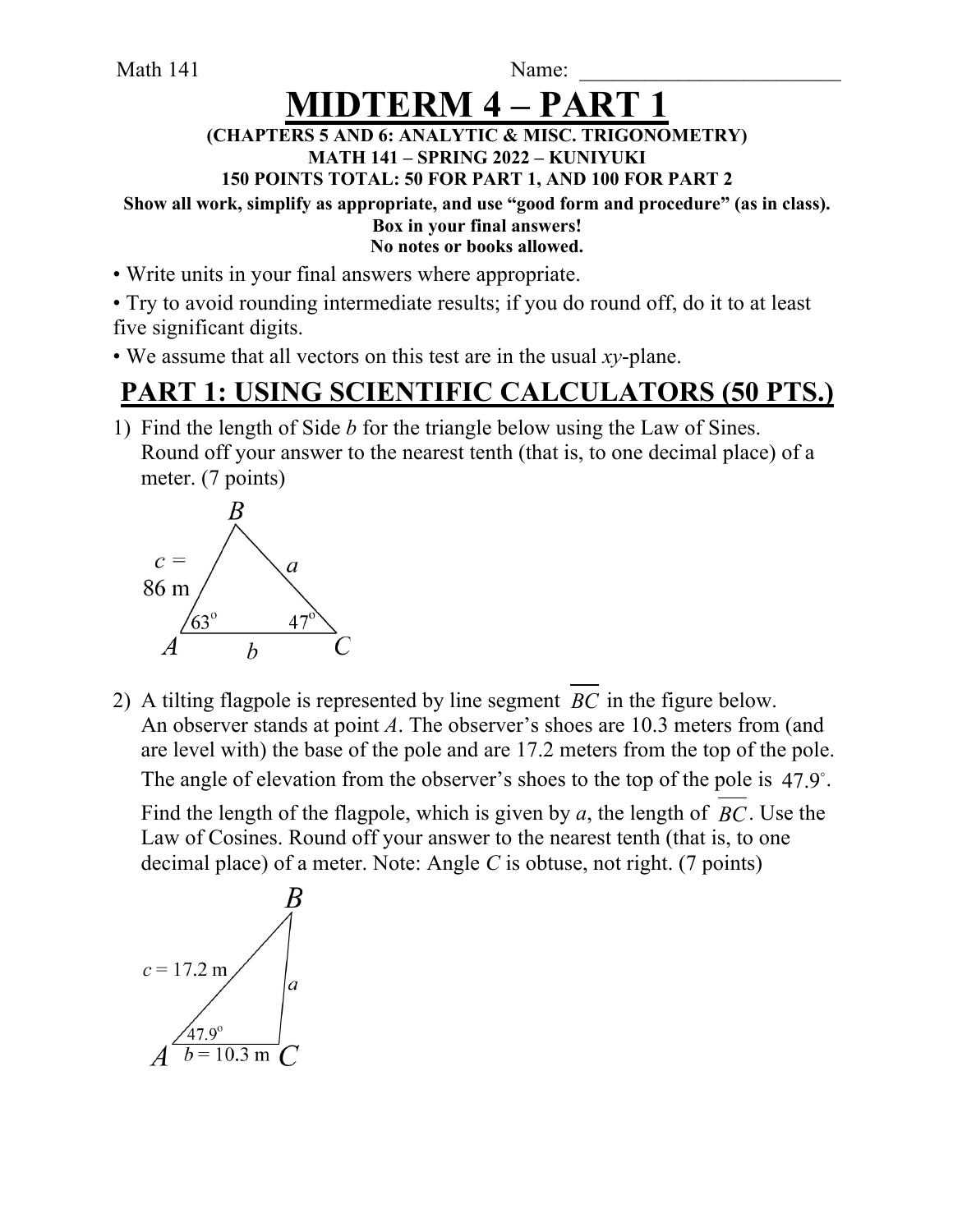Math 141 Name:

# **HDTERM 4 – P**

#### **(CHAPTERS 5 AND 6: ANALYTIC & MISC. TRIGONOMETRY) MATH 141 – SPRING 2022 – KUNIYUKI**

**150 POINTS TOTAL: 50 FOR PART 1, AND 100 FOR PART 2**

**Show all work, simplify as appropriate, and use "good form and procedure" (as in class).**

#### **Box in your final answers! No notes or books allowed.**

• Write units in your final answers where appropriate.

• Try to avoid rounding intermediate results; if you do round off, do it to at least five significant digits.

• We assume that all vectors on this test are in the usual *xy*-plane.

## **PART 1: USING SCIENTIFIC CALCULATORS (50 PTS.)**

1) Find the length of Side *b* for the triangle below using the Law of Sines. Round off your answer to the nearest tenth (that is, to one decimal place) of a meter. (7 points)



2) A tilting flagpole is represented by line segment  $BC$  in the figure below. An observer stands at point *A*. The observer's shoes are 10.3 meters from (and are level with) the base of the pole and are 17.2 meters from the top of the pole. The angle of elevation from the observer's shoes to the top of the pole is  $47.9^{\circ}$ .

Find the length of the flagpole, which is given by  $a$ , the length of  $BC$ . Use the Law of Cosines. Round off your answer to the nearest tenth (that is, to one decimal place) of a meter. Note: Angle *C* is obtuse, not right. (7 points)

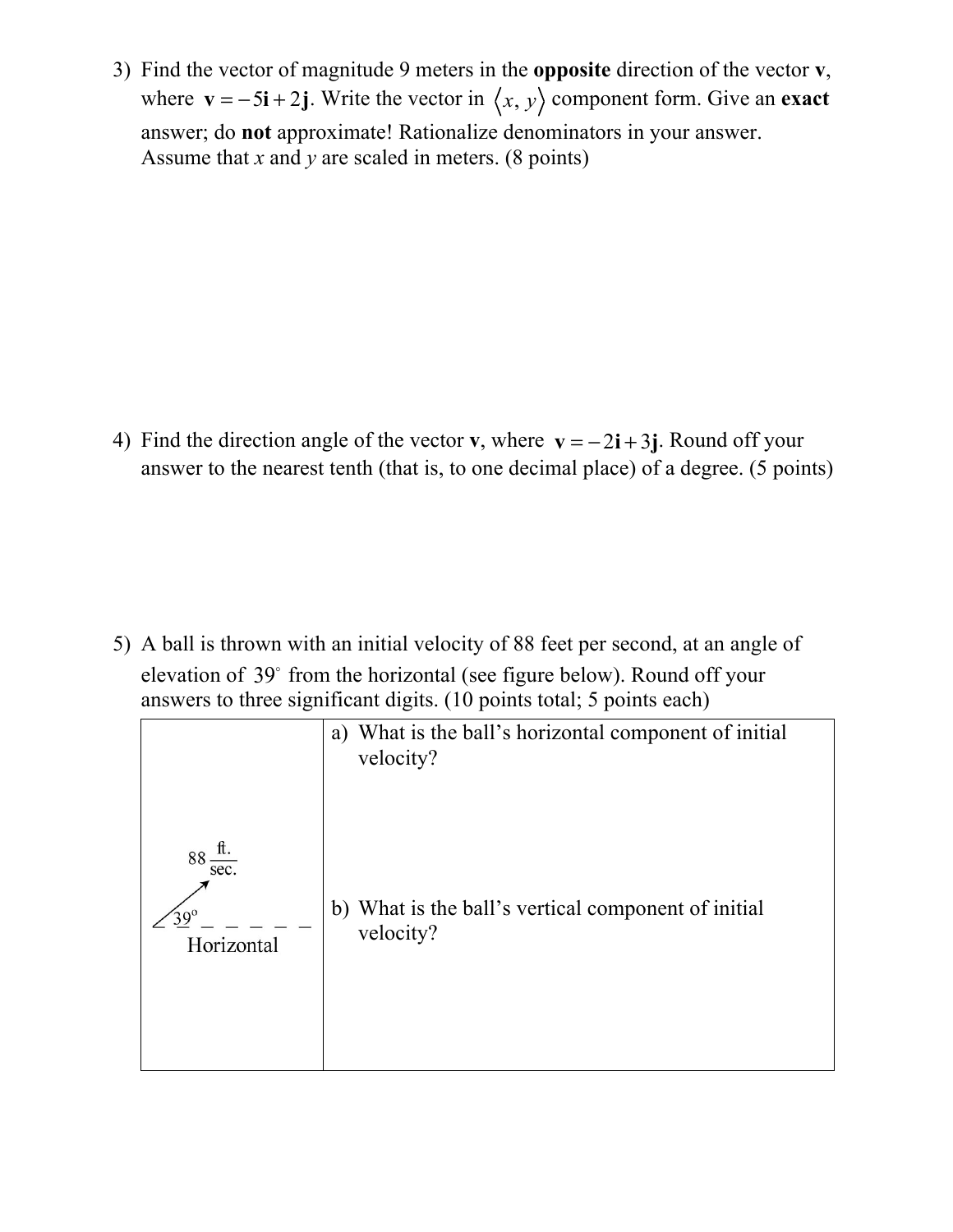3) Find the vector of magnitude 9 meters in the **opposite** direction of the vector **v**, where  $\mathbf{v} = -5\mathbf{i} + 2\mathbf{j}$ . Write the vector in  $\langle x, y \rangle$  component form. Give an **exact** answer; do **not** approximate! Rationalize denominators in your answer. Assume that *x* and *y* are scaled in meters. (8 points)

4) Find the direction angle of the vector **v**, where  $\mathbf{v} = -2\mathbf{i} + 3\mathbf{j}$ . Round off your answer to the nearest tenth (that is, to one decimal place) of a degree. (5 points)

5) A ball is thrown with an initial velocity of 88 feet per second, at an angle of elevation of 39° from the horizontal (see figure below). Round off your answers to three significant digits. (10 points total; 5 points each)

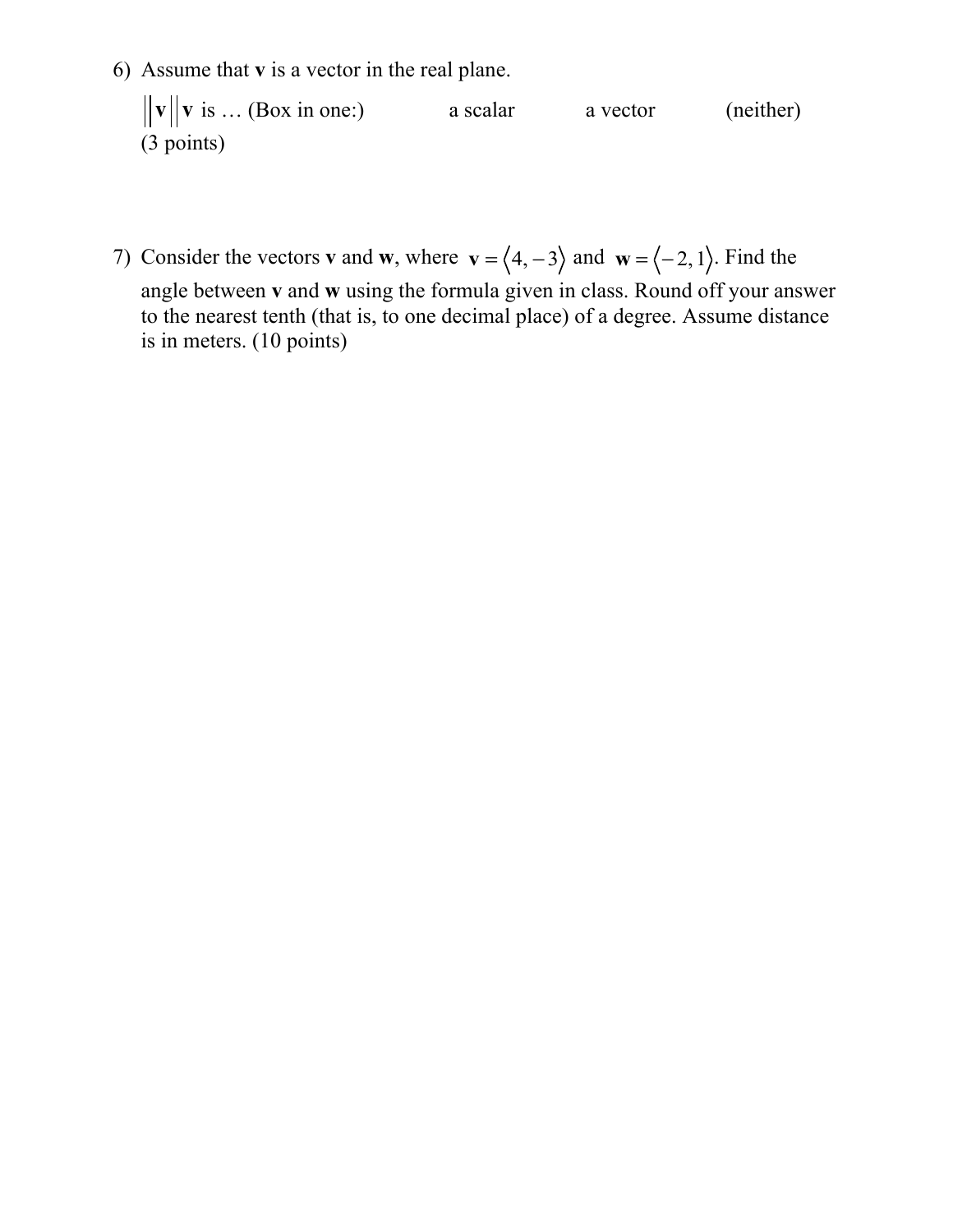6) Assume that **v** is a vector in the real plane.

 $\mathbf{v} \parallel \mathbf{v}$  is ... (Box in one:) a scalar a vector (neither) (3 points)

7) Consider the vectors **v** and **w**, where  $\mathbf{v} = \langle 4, -3 \rangle$  and  $\mathbf{w} = \langle -2, 1 \rangle$ . Find the angle between **v** and **w** using the formula given in class. Round off your answer to the nearest tenth (that is, to one decimal place) of a degree. Assume distance is in meters. (10 points)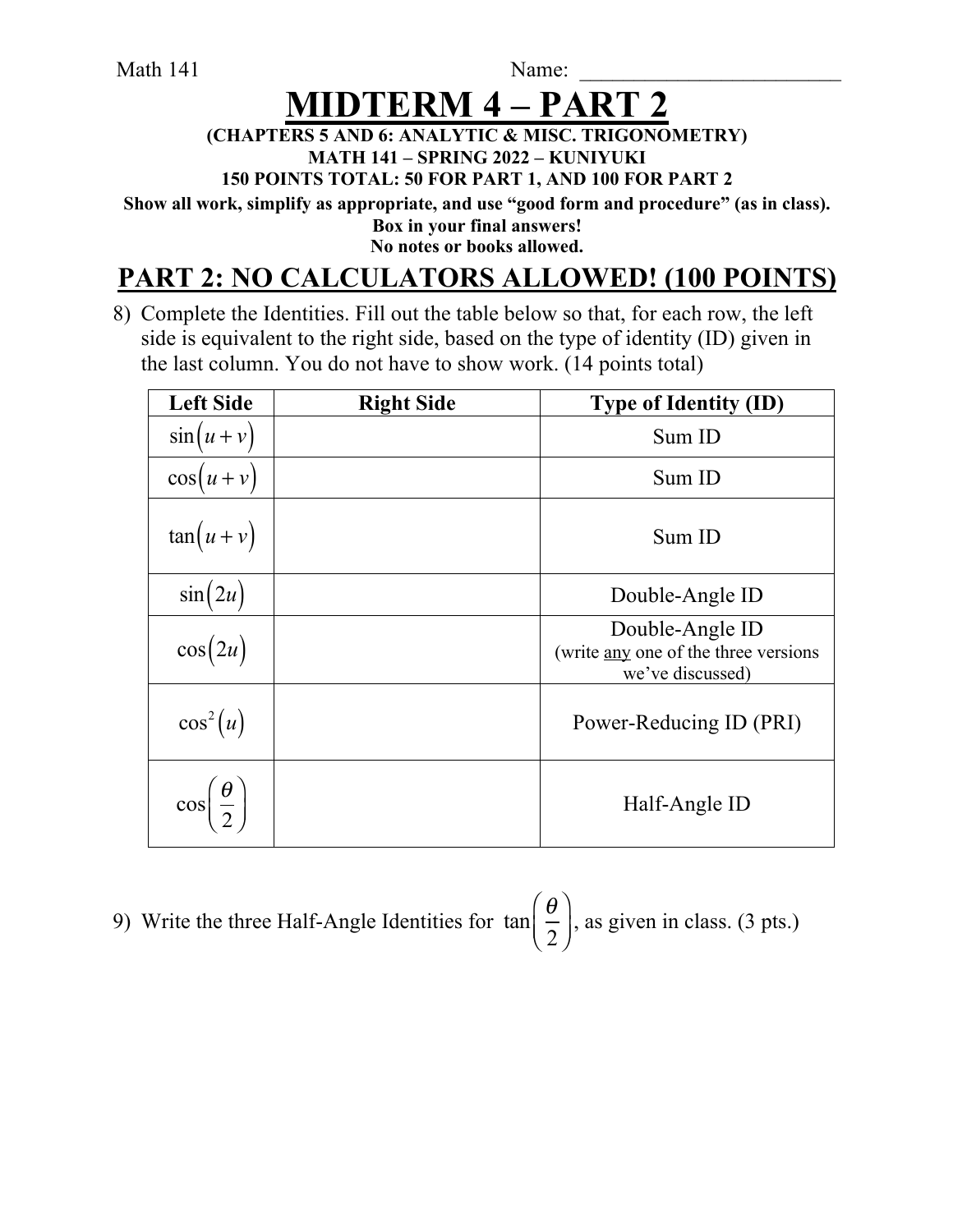Math 141 Name:

# **MIDTERM 4 – PA**

### **(CHAPTERS 5 AND 6: ANALYTIC & MISC. TRIGONOMETRY) MATH 141 – SPRING 2022 – KUNIYUKI**

**150 POINTS TOTAL: 50 FOR PART 1, AND 100 FOR PART 2**

**Show all work, simplify as appropriate, and use "good form and procedure" (as in class). Box in your final answers!** 

**No notes or books allowed.**

## **PART 2: NO CALCULATORS ALLOWED! (100 POINTS)**

8) Complete the Identities. Fill out the table below so that, for each row, the left side is equivalent to the right side, based on the type of identity (ID) given in the last column. You do not have to show work. (14 points total)

| <b>Left Side</b>                    | <b>Right Side</b> | <b>Type of Identity (ID)</b>                                                |
|-------------------------------------|-------------------|-----------------------------------------------------------------------------|
| $\sin(u+v)$                         |                   | Sum ID                                                                      |
| $\cos(u+v)$                         |                   | Sum ID                                                                      |
| $tan(u + v)$                        |                   | Sum ID                                                                      |
| $\sin(2u)$                          |                   | Double-Angle ID                                                             |
| $\cos(2u)$                          |                   | Double-Angle ID<br>(write any one of the three versions<br>we've discussed) |
| $\cos^2(u)$                         |                   | Power-Reducing ID (PRI)                                                     |
| $\cos\left(\frac{\theta}{2}\right)$ |                   | Half-Angle ID                                                               |

9) Write the three Half-Angle Identities for  $\tan \frac{1}{6}$ , as given in class. (3 pts.) θ 2  $\sqrt{}$  $\overline{\mathcal{N}}$  $\lambda$  $\overline{a}$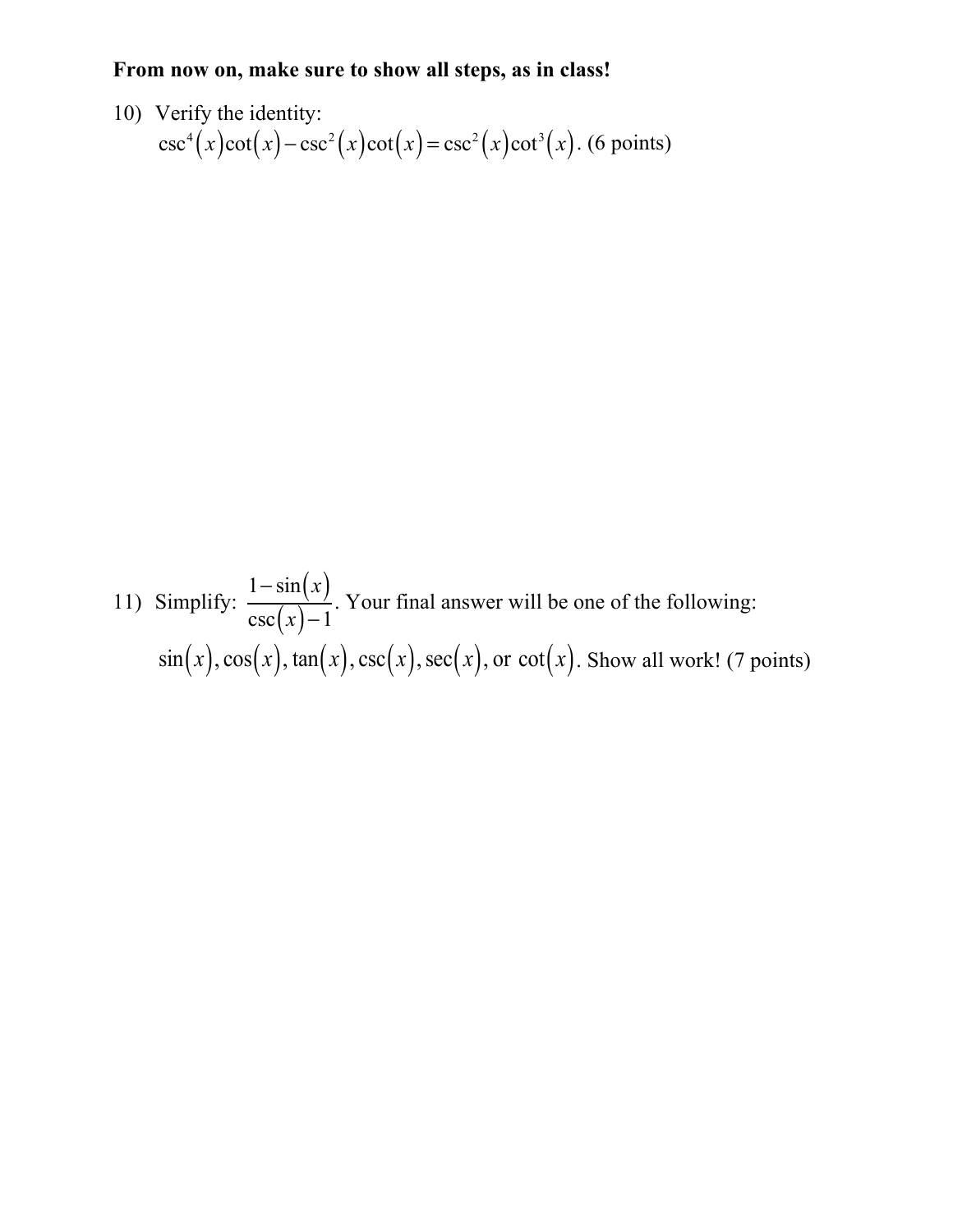### **From now on, make sure to show all steps, as in class!**

10) Verify the identity:  $\csc^4(x)\cot(x) - \csc^2(x)\cot(x) = \csc^2(x)\cot^3(x)$ . (6 points)

11) Simplify:  $\frac{1}{\sqrt{2}}$ . Your final answer will be one of the following:  $\sin(x)$ ,  $\cos(x)$ ,  $\tan(x)$ ,  $\csc(x)$ ,  $\sec(x)$ , or  $\cot(x)$ . Show all work! (7 points)  $1-\sin(x)$  $csc(x)-1$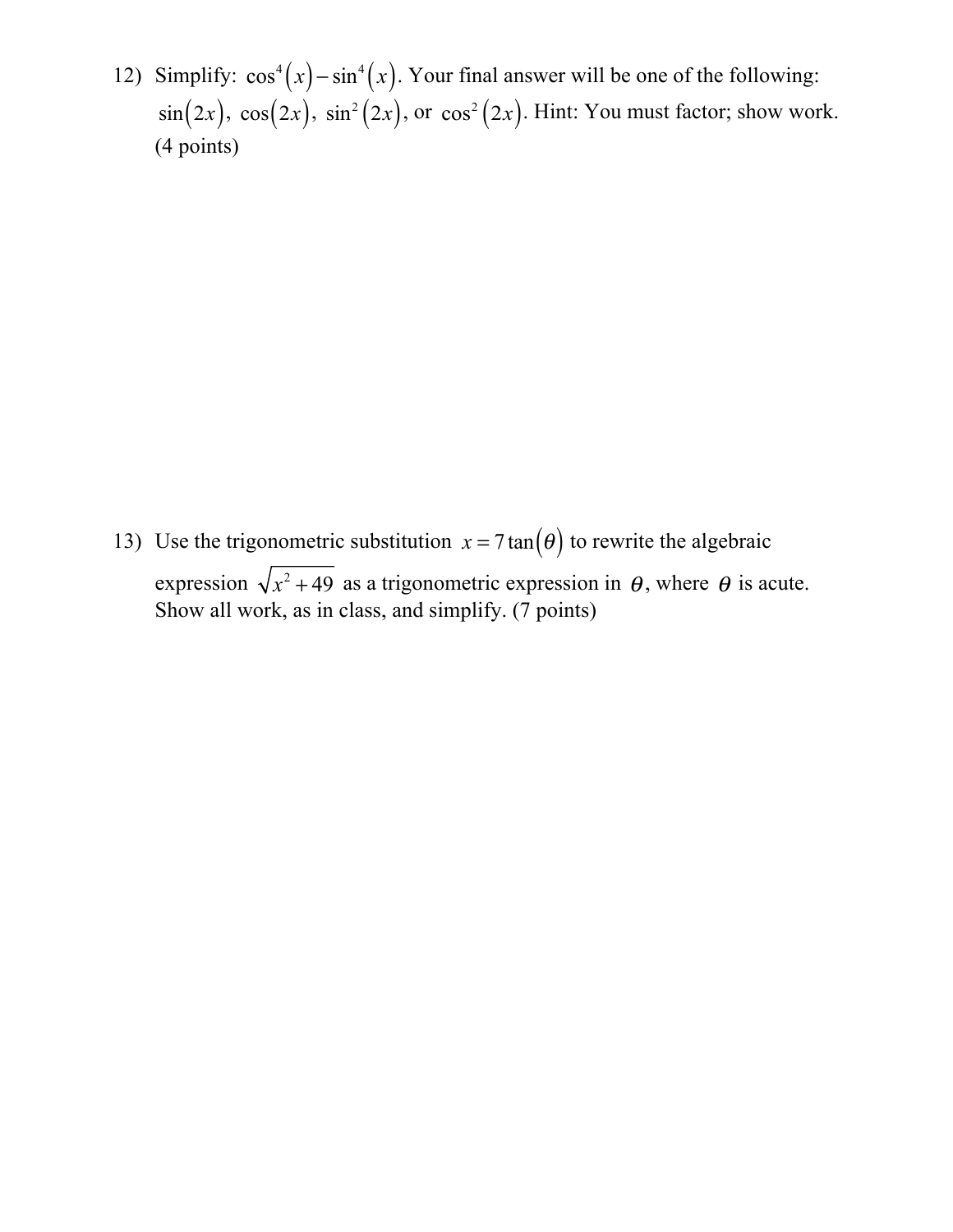12) Simplify:  $\cos^4(x) - \sin^4(x)$ . Your final answer will be one of the following:  $\sin(2x)$ ,  $\cos(2x)$ ,  $\sin^2(2x)$ , or  $\cos^2(2x)$ . Hint: You must factor; show work. (4 points)

13) Use the trigonometric substitution  $x = 7 \tan(\theta)$  to rewrite the algebraic expression  $\sqrt{x^2 + 49}$  as a trigonometric expression in  $\theta$ , where  $\theta$  is acute. Show all work, as in class, and simplify. (7 points)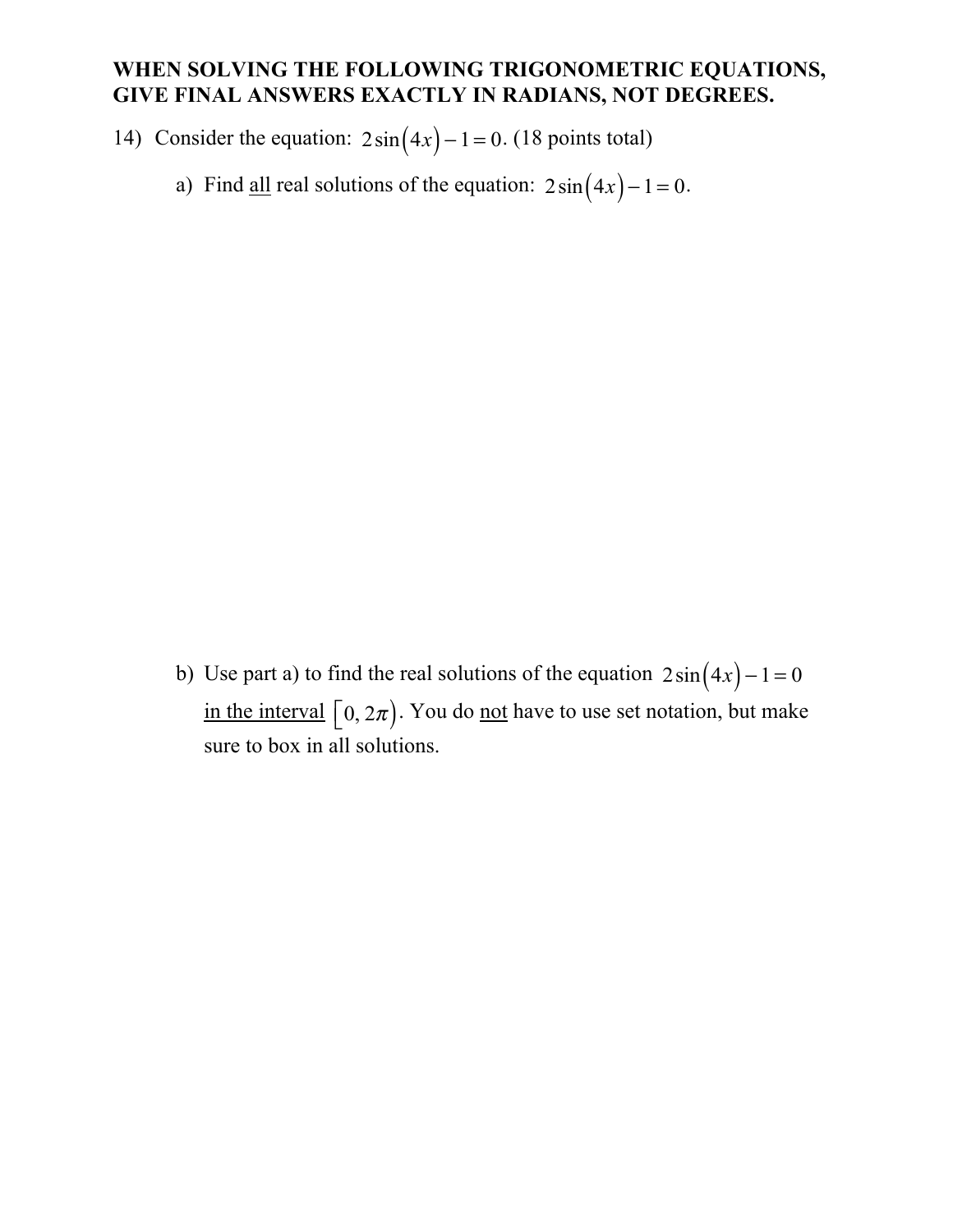### **WHEN SOLVING THE FOLLOWING TRIGONOMETRIC EQUATIONS, GIVE FINAL ANSWERS EXACTLY IN RADIANS, NOT DEGREES.**

14) Consider the equation:  $2\sin(4x) - 1 = 0$ . (18 points total)

a) Find <u>all</u> real solutions of the equation:  $2\sin(4x) - 1 = 0$ .

b) Use part a) to find the real solutions of the equation  $2\sin(4x) - 1 = 0$ in the interval  $\left[0, 2\pi\right)$ . You do <u>not</u> have to use set notation, but make sure to box in all solutions.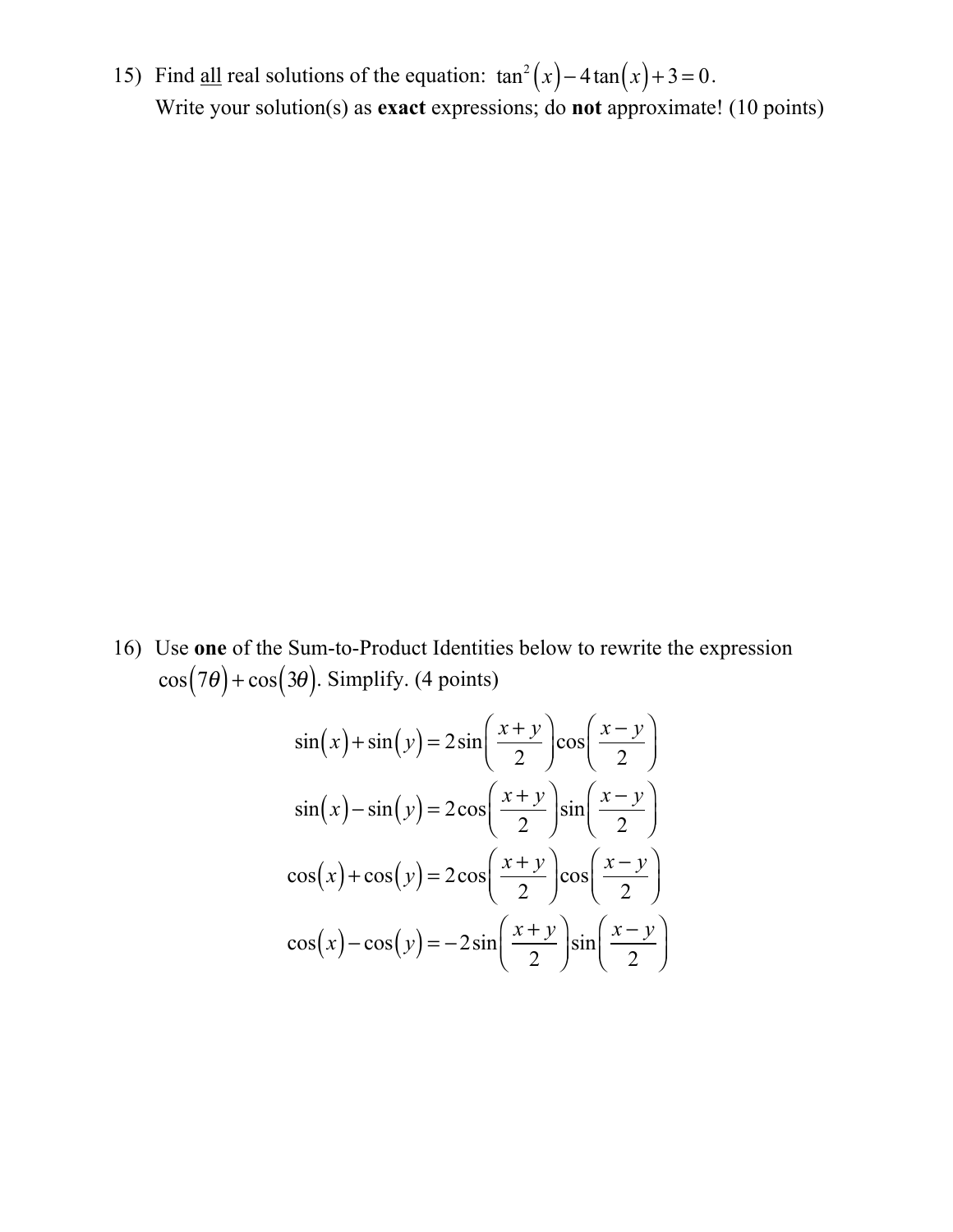15) Find <u>all</u> real solutions of the equation:  $\tan^2(x) - 4\tan(x) + 3 = 0$ . Write your solution(s) as **exact** expressions; do **not** approximate! (10 points)

16) Use **one** of the Sum-to-Product Identities below to rewrite the expression  $\cos(7\theta) + \cos(3\theta)$ . Simplify. (4 points)

$$
\sin(x) + \sin(y) = 2\sin\left(\frac{x+y}{2}\right)\cos\left(\frac{x-y}{2}\right)
$$

$$
\sin(x) - \sin(y) = 2\cos\left(\frac{x+y}{2}\right)\sin\left(\frac{x-y}{2}\right)
$$

$$
\cos(x) + \cos(y) = 2\cos\left(\frac{x+y}{2}\right)\cos\left(\frac{x-y}{2}\right)
$$

$$
\cos(x) - \cos(y) = -2\sin\left(\frac{x+y}{2}\right)\sin\left(\frac{x-y}{2}\right)
$$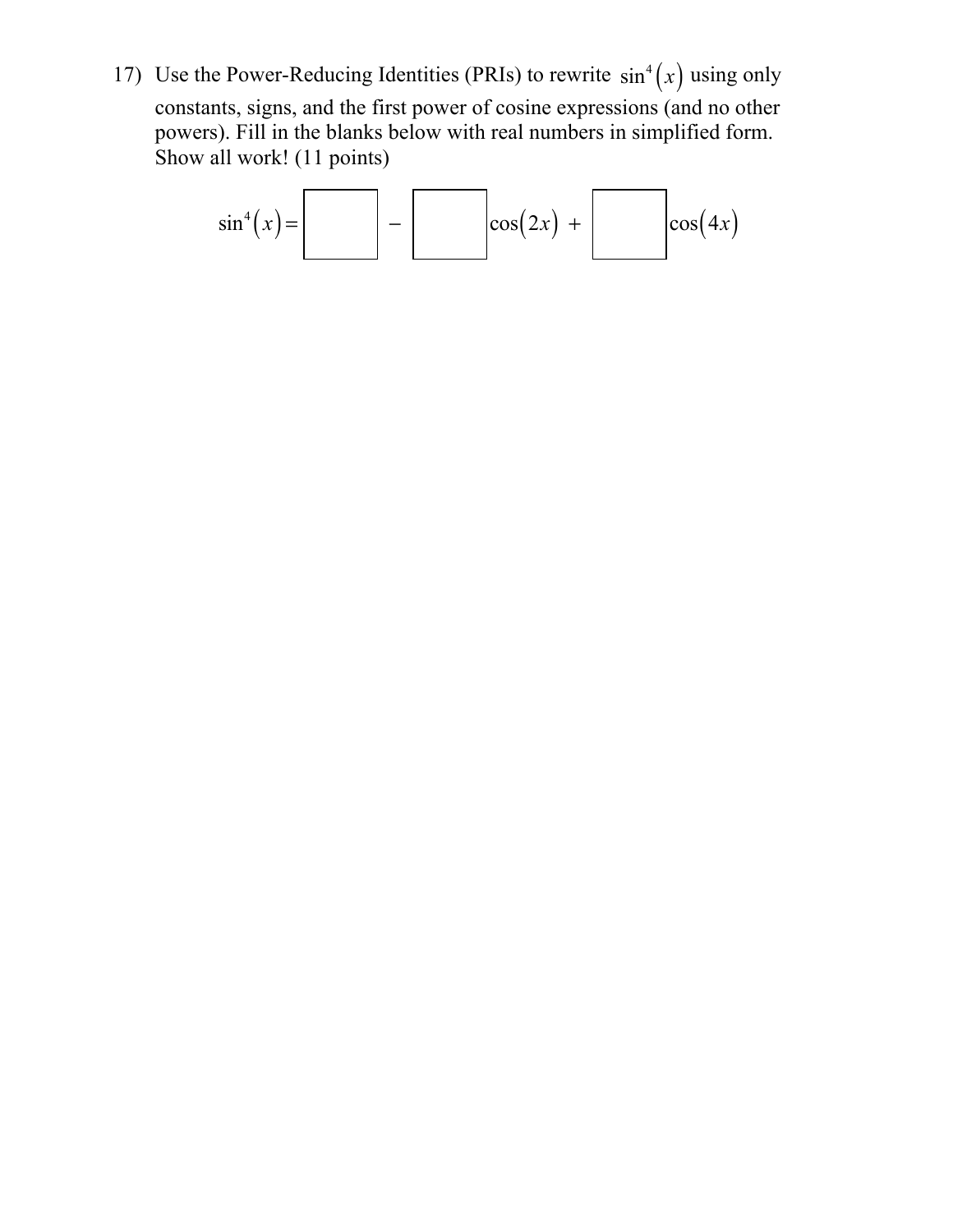17) Use the Power-Reducing Identities (PRIs) to rewrite  $sin^4(x)$  using only constants, signs, and the first power of cosine expressions (and no other powers). Fill in the blanks below with real numbers in simplified form. Show all work! (11 points)